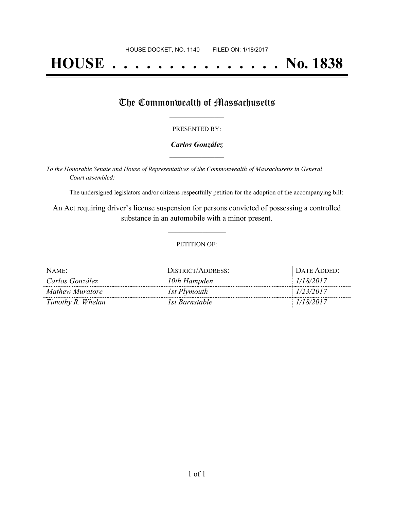# **HOUSE . . . . . . . . . . . . . . . No. 1838**

### The Commonwealth of Massachusetts

#### PRESENTED BY:

#### *Carlos González* **\_\_\_\_\_\_\_\_\_\_\_\_\_\_\_\_\_**

*To the Honorable Senate and House of Representatives of the Commonwealth of Massachusetts in General Court assembled:*

The undersigned legislators and/or citizens respectfully petition for the adoption of the accompanying bill:

An Act requiring driver's license suspension for persons convicted of possessing a controlled substance in an automobile with a minor present.

**\_\_\_\_\_\_\_\_\_\_\_\_\_\_\_**

#### PETITION OF:

| NAME:                  | DISTRICT/ADDRESS: | Date Added:- |
|------------------------|-------------------|--------------|
| Carlos González        | 10th Hampden      | 1/18/2017    |
| <b>Mathew Muratore</b> | 1st Plymouth      | 1/23/2017    |
| Timothy R. Whelan      | 1st Barnstable    | 1/18/2017    |